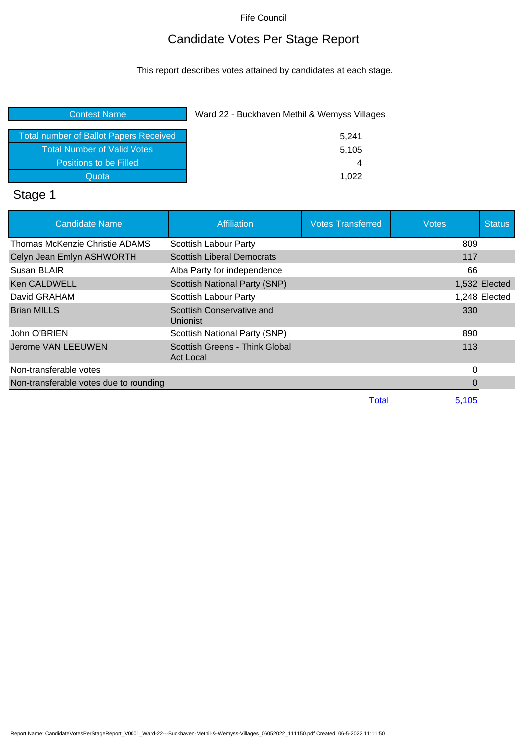## Candidate Votes Per Stage Report

This report describes votes attained by candidates at each stage.

| <b>Contest Name</b>                           | Ward 22 - Buckhaven Methil & Wemyss Villages |
|-----------------------------------------------|----------------------------------------------|
| <b>Total number of Ballot Papers Received</b> | 5,241                                        |
| <b>Total Number of Valid Votes</b>            | 5,105                                        |
| Positions to be Filled                        | 4                                            |
| Quota                                         | 1.022                                        |
|                                               |                                              |

### Stage 1

| <b>Candidate Name</b>                  | <b>Affiliation</b>                          | <b>Votes Transferred</b> | <b>Votes</b> | <b>Status</b> |
|----------------------------------------|---------------------------------------------|--------------------------|--------------|---------------|
| Thomas McKenzie Christie ADAMS         | Scottish Labour Party                       |                          | 809          |               |
| Celyn Jean Emlyn ASHWORTH              | <b>Scottish Liberal Democrats</b>           |                          | 117          |               |
| Susan BLAIR                            | Alba Party for independence                 |                          | 66           |               |
| Ken CALDWELL                           | Scottish National Party (SNP)               |                          |              | 1,532 Elected |
| David GRAHAM                           | <b>Scottish Labour Party</b>                |                          |              | 1,248 Elected |
| <b>Brian MILLS</b>                     | Scottish Conservative and<br>Unionist       |                          | 330          |               |
| John O'BRIEN                           | Scottish National Party (SNP)               |                          | 890          |               |
| Jerome VAN LEEUWEN                     | Scottish Greens - Think Global<br>Act Local |                          | 113          |               |
| Non-transferable votes                 |                                             |                          | $\Omega$     |               |
| Non-transferable votes due to rounding |                                             |                          | 0            |               |
|                                        |                                             | Total                    | 5,105        |               |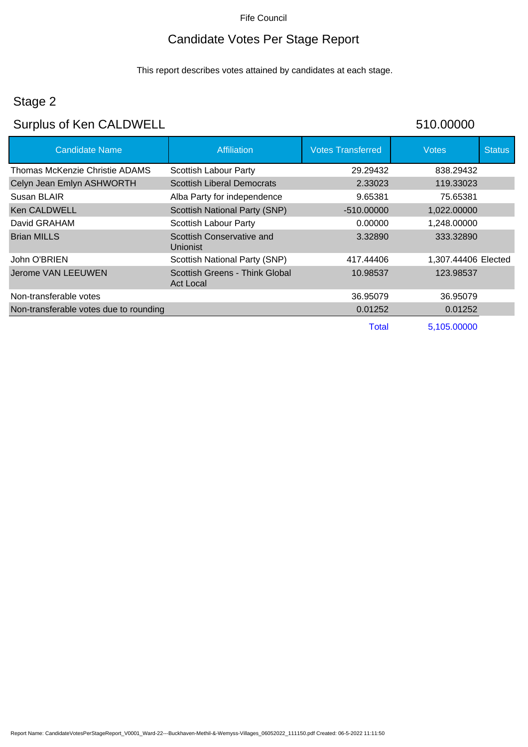## Candidate Votes Per Stage Report

This report describes votes attained by candidates at each stage.

## Stage 2

# Surplus of Ken CALDWELL 510.00000

| <b>Candidate Name</b>                  | Affiliation                                        | <b>Votes Transferred</b> | <b>Votes</b>        | <b>Status</b> |
|----------------------------------------|----------------------------------------------------|--------------------------|---------------------|---------------|
| Thomas McKenzie Christie ADAMS         | <b>Scottish Labour Party</b>                       | 29.29432                 | 838.29432           |               |
| Celyn Jean Emlyn ASHWORTH              | <b>Scottish Liberal Democrats</b>                  | 2.33023                  | 119.33023           |               |
| Susan BLAIR                            | Alba Party for independence                        | 9.65381                  | 75.65381            |               |
| <b>Ken CALDWELL</b>                    | Scottish National Party (SNP)                      | $-510.00000$             | 1,022.00000         |               |
| David GRAHAM                           | Scottish Labour Party                              | 0.00000                  | 1,248.00000         |               |
| <b>Brian MILLS</b>                     | Scottish Conservative and<br>Unionist              | 3.32890                  | 333.32890           |               |
| John O'BRIEN                           | Scottish National Party (SNP)                      | 417.44406                | 1,307.44406 Elected |               |
| <b>Jerome VAN LEEUWEN</b>              | Scottish Greens - Think Global<br><b>Act Local</b> | 10.98537                 | 123.98537           |               |
| Non-transferable votes                 |                                                    | 36.95079                 | 36.95079            |               |
| Non-transferable votes due to rounding |                                                    | 0.01252                  | 0.01252             |               |
|                                        |                                                    | Total                    | 5,105.00000         |               |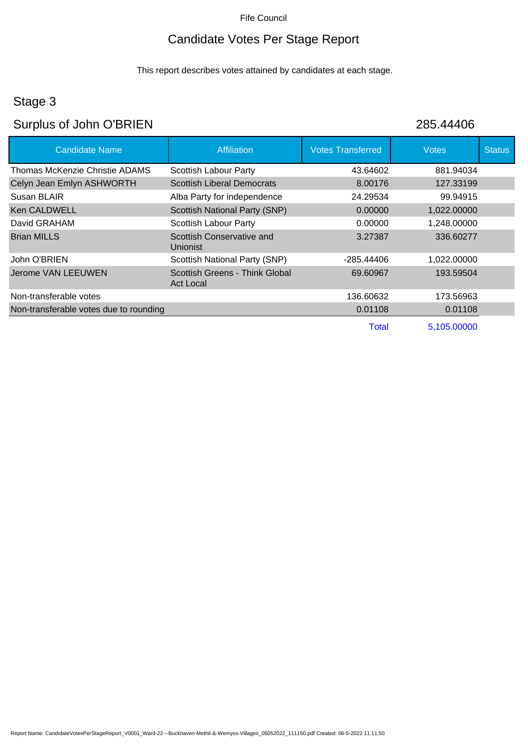#### Candidate Votes Per Stage Report

This report describes votes attained by candidates at each stage.

### Stage 3

### Surplus of John O'BRIEN 285.44406

Candidate Name **Affiliation** Affiliation **Votes Transferred** Votes Votes Status Thomas McKenzie Christie ADAMS Scottish Labour Party **13.64602** 43.64602 Celyn Jean Emlyn ASHWORTH Scottish Liberal Democrats 8.00176 127.33199 Susan BLAIR **Alba Party for independence** 24.29534 99.94915 Ken CALDWELL Scottish National Party (SNP) 0.00000 1,022.00000 David GRAHAM **Scottish Labour Party CONSERVING 1,248.00000** 1,248.00000 Brian MILLS Scottish Conservative and Unionist 3.27387 336.60277 John O'BRIEN **Scottish National Party (SNP)** -285.44406 1,022.00000 Jerome VAN LEEUWEN Scottish Greens - Think Global Act Local 69.60967 193.59504 Non-transferable votes 136.60632 173.56963 Non-transferable votes due to rounding 0.01108 0.01108 0.01108 0.01108 Total 5,105.00000